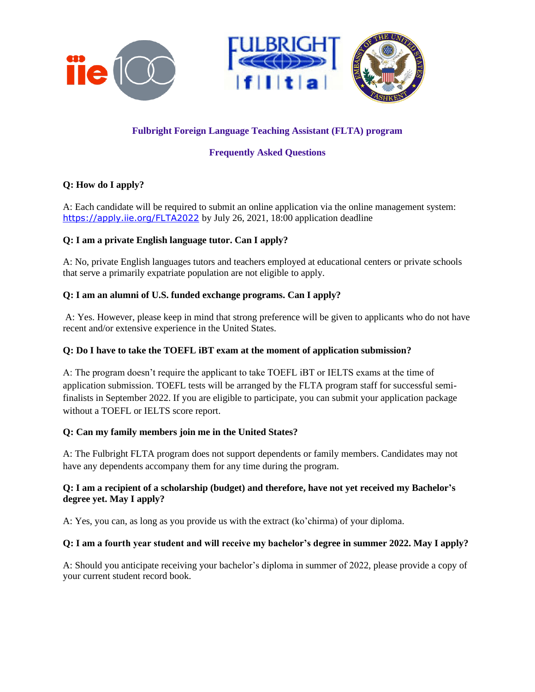

# **Fulbright Foreign Language Teaching Assistant (FLTA) program**

# **Frequently Asked Questions**

# **Q: How do I apply?**

A: Each candidate will be required to submit an online application via the online management system: <https://apply.iie.org/FLTA2022> by July 26, 2021, 18:00 application deadline

## **Q: I am a private English language tutor. Can I apply?**

A: No, private English languages tutors and teachers employed at educational centers or private schools that serve a primarily expatriate population are not eligible to apply.

### **Q: I am an alumni of U.S. funded exchange programs. Can I apply?**

A: Yes. However, please keep in mind that strong preference will be given to applicants who do not have recent and/or extensive experience in the United States.

### **Q: Do I have to take the TOEFL iBT exam at the moment of application submission?**

A: The program doesn't require the applicant to take TOEFL iBT or IELTS exams at the time of application submission. TOEFL tests will be arranged by the FLTA program staff for successful semifinalists in September 2022. If you are eligible to participate, you can submit your application package without a TOEFL or IELTS score report.

## **Q: Can my family members join me in the United States?**

A: The Fulbright FLTA program does not support dependents or family members. Candidates may not have any dependents accompany them for any time during the program.

### **Q: I am a recipient of a scholarship (budget) and therefore, have not yet received my Bachelor's degree yet. May I apply?**

A: Yes, you can, as long as you provide us with the extract (ko'chirma) of your diploma.

## **Q: I am a fourth year student and will receive my bachelor's degree in summer 2022. May I apply?**

A: Should you anticipate receiving your bachelor's diploma in summer of 2022, please provide a copy of your current student record book.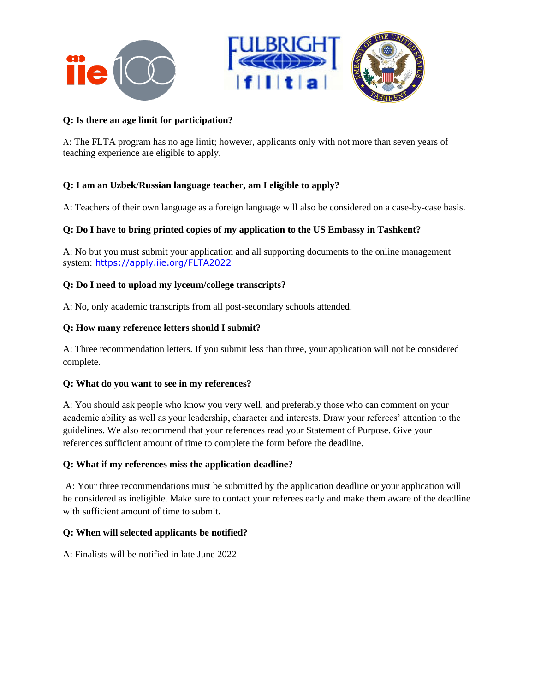

### **Q: Is there an age limit for participation?**

A: The FLTA program has no age limit; however, applicants only with not more than seven years of teaching experience are eligible to apply.

## **Q: I am an Uzbek/Russian language teacher, am I eligible to apply?**

A: Teachers of their own language as a foreign language will also be considered on a case-by-case basis.

### **Q: Do I have to bring printed copies of my application to the US Embassy in Tashkent?**

A: No but you must submit your application and all supporting documents to the online management system: <https://apply.iie.org/FLTA2022>

#### **Q: Do I need to upload my lyceum/college transcripts?**

A: No, only academic transcripts from all post-secondary schools attended.

#### **Q: How many reference letters should I submit?**

A: Three recommendation letters. If you submit less than three, your application will not be considered complete.

#### **Q: What do you want to see in my references?**

A: You should ask people who know you very well, and preferably those who can comment on your academic ability as well as your leadership, character and interests. Draw your referees' attention to the guidelines. We also recommend that your references read your Statement of Purpose. Give your references sufficient amount of time to complete the form before the deadline.

#### **Q: What if my references miss the application deadline?**

A: Your three recommendations must be submitted by the application deadline or your application will be considered as ineligible. Make sure to contact your referees early and make them aware of the deadline with sufficient amount of time to submit.

## **Q: When will selected applicants be notified?**

A: Finalists will be notified in late June 2022